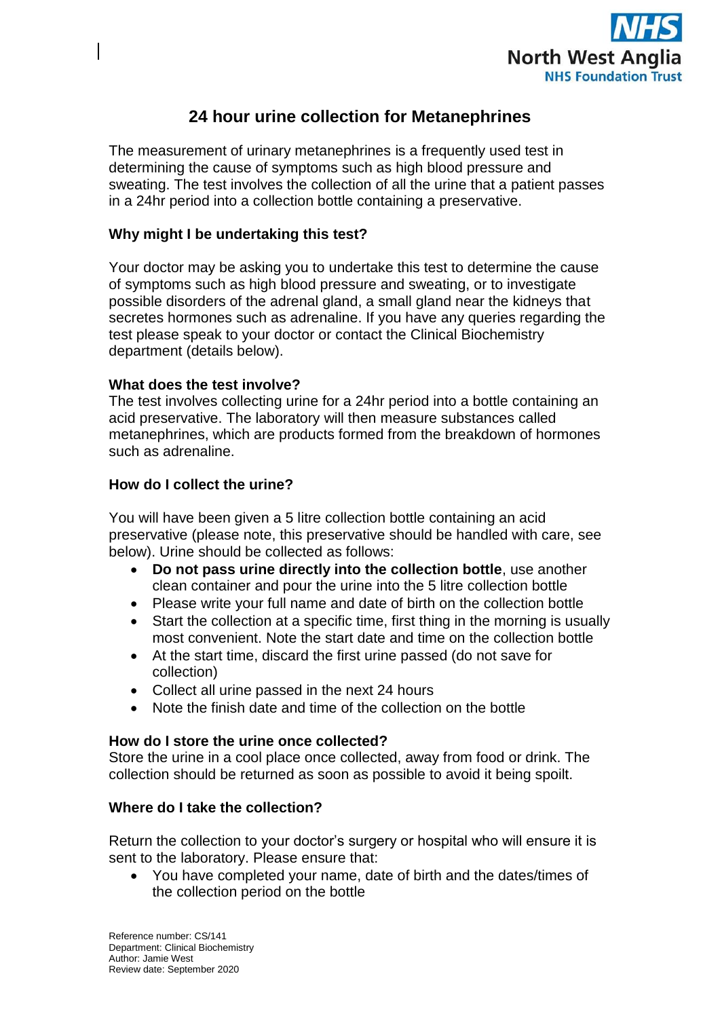

# **24 hour urine collection for Metanephrines**

The measurement of urinary metanephrines is a frequently used test in determining the cause of symptoms such as high blood pressure and sweating. The test involves the collection of all the urine that a patient passes in a 24hr period into a collection bottle containing a preservative.

# **Why might I be undertaking this test?**

Your doctor may be asking you to undertake this test to determine the cause of symptoms such as high blood pressure and sweating, or to investigate possible disorders of the adrenal gland, a small gland near the kidneys that secretes hormones such as adrenaline. If you have any queries regarding the test please speak to your doctor or contact the Clinical Biochemistry department (details below).

## **What does the test involve?**

The test involves collecting urine for a 24hr period into a bottle containing an acid preservative. The laboratory will then measure substances called metanephrines, which are products formed from the breakdown of hormones such as adrenaline.

## **How do I collect the urine?**

You will have been given a 5 litre collection bottle containing an acid preservative (please note, this preservative should be handled with care, see below). Urine should be collected as follows:

- **Do not pass urine directly into the collection bottle**, use another clean container and pour the urine into the 5 litre collection bottle
- Please write your full name and date of birth on the collection bottle
- Start the collection at a specific time, first thing in the morning is usually most convenient. Note the start date and time on the collection bottle
- At the start time, discard the first urine passed (do not save for collection)
- Collect all urine passed in the next 24 hours
- Note the finish date and time of the collection on the bottle

#### **How do I store the urine once collected?**

Store the urine in a cool place once collected, away from food or drink. The collection should be returned as soon as possible to avoid it being spoilt.

## **Where do I take the collection?**

Return the collection to your doctor's surgery or hospital who will ensure it is sent to the laboratory. Please ensure that:

 You have completed your name, date of birth and the dates/times of the collection period on the bottle